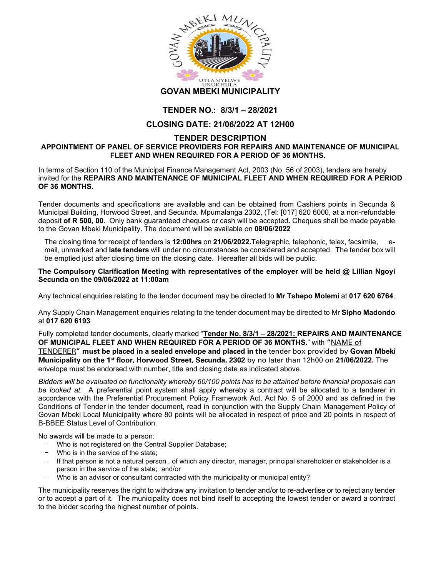

## TENDER NO.: 8/3/1 – 28/2021

## CLOSING DATE: 21/06/2022 AT 12H00

## TENDER DESCRIPTION APPOINTMENT OF PANEL OF SERVICE PROVIDERS FOR REPAIRS AND MAINTENANCE OF MUNICIPAL FLEET AND WHEN REQUIRED FOR A PERIOD OF 36 MONTHS.

In terms of Section 110 of the Municipal Finance Management Act, 2003 (No. 56 of 2003), tenders are hereby invited for the REPAIRS AND MAINTENANCE OF MUNICIPAL FLEET AND WHEN REQUIRED FOR A PERIOD OF 36 MONTHS.

Tender documents and specifications are available and can be obtained from Cashiers points in Secunda & Municipal Building, Horwood Street, and Secunda. Mpumalanga 2302, (Tel: [017] 620 6000, at a non-refundable deposit of R 500, 00. Only bank guaranteed cheques or cash will be accepted. Cheques shall be made payable to the Govan Mbeki Municipality. The document will be available on 08/06/2022

The closing time for receipt of tenders is 12:00hrs on 21/06/2022. Telegraphic, telephonic, telex, facsimile, mail, unmarked and late tenders will under no circumstances be considered and accepted. The tender box will be emptied just after closing time on the closing date. Hereafter all bids will be public.

## The Compulsory Clarification Meeting with representatives of the employer will be held @ Lillian Ngoyi Secunda on the 09/06/2022 at 11:00am

Any technical enquiries relating to the tender document may be directed to **Mr Tshepo Molemi** at **017 620 6764**.<br>Any Supply Chain Management enquiries relating to the tender document may be directed to Mr **Sipho Madondo** 

at 017 620 6193

Fully completed tender documents, clearly marked "Tender No. 8/3/1 – 28/2021: REPAIRS AND MAINTENANCE OF MUNICIPAL FLEET AND WHEN REQUIRED FOR A PERIOD OF 36 MONTHS." with "NAME of TENDERER" must be placed in a sealed envelope and placed in the tender box provided by Govan Mbeki Municipality on the 1<sup>st</sup> floor, Horwood Street, Secunda, 2302 by no later than 12h00 on 21/06/2022. The envelope must be endorsed with number, title and closing date as indicated above.

Bidders will be evaluated on functionality whereby 60/100 points has to be attained before financial proposals can be looked at. A preferential point system shall apply whereby a contract will be allocated to a tenderer in accordance with the Preferential Procurement Policy Framework Act, Act No. 5 of 2000 and as defined in the Conditions of Tender in the tender document, read in conjunction with the Supply Chain Management Policy of Govan Mbeki Local Municipality where 80 points will be allocated in respect of price and 20 points in respect of B-BBEE Status Level of Contribution.

No awards will be made to a person:

- Who is not registered on the Central Supplier Database;
- Who is in the service of the state;
- If that person is not a natural person, of which any director, manager, principal shareholder or stakeholder is a person in the service of the state; and/or
- Who is an advisor or consultant contracted with the municipality or municipal entity?

The municipality reserves the right to withdraw any invitation to tender and/or to re-advertise or to reject any tender or to accept a part of it. The municipality does not bind itself to accepting the lowest tender or award a contract to the bidder scoring the highest number of points.